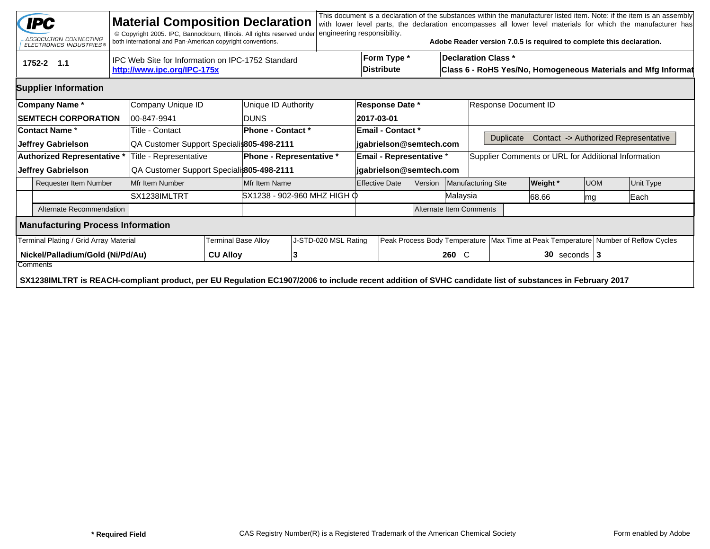| This document is a declaration of the substances within the manufacturer listed item. Note: if the item is an assembly<br><b>IPC</b><br><b>Material Composition Declaration</b><br>with lower level parts, the declaration encompasses all lower level materials for which the manufacturer has<br>engineering responsibility.<br>© Copyright 2005. IPC, Bannockburn, Illinois. All rights reserved under<br>ASSOCIATION CONNECTING<br>Adobe Reader version 7.0.5 is required to complete this declaration.<br>both international and Pan-American copyright conventions.<br><b>ELECTRONICS INDUSTRIES®</b> |                                                                                                                                                                     |                                                                                  |                                           |                                           |                              |                          |                                |                                  |         |                                                                                             |                                                     |                      |          |            |                                                                                        |                                      |
|-------------------------------------------------------------------------------------------------------------------------------------------------------------------------------------------------------------------------------------------------------------------------------------------------------------------------------------------------------------------------------------------------------------------------------------------------------------------------------------------------------------------------------------------------------------------------------------------------------------|---------------------------------------------------------------------------------------------------------------------------------------------------------------------|----------------------------------------------------------------------------------|-------------------------------------------|-------------------------------------------|------------------------------|--------------------------|--------------------------------|----------------------------------|---------|---------------------------------------------------------------------------------------------|-----------------------------------------------------|----------------------|----------|------------|----------------------------------------------------------------------------------------|--------------------------------------|
|                                                                                                                                                                                                                                                                                                                                                                                                                                                                                                                                                                                                             | 1752-2 1.1                                                                                                                                                          | IPC Web Site for Information on IPC-1752 Standard<br>http://www.ipc.org/IPC-175x |                                           |                                           |                              |                          |                                | Form Type *<br><b>Distribute</b> |         | <b>Declaration Class *</b><br>Class 6 - RoHS Yes/No, Homogeneous Materials and Mfg Informat |                                                     |                      |          |            |                                                                                        |                                      |
|                                                                                                                                                                                                                                                                                                                                                                                                                                                                                                                                                                                                             | <b>Supplier Information</b>                                                                                                                                         |                                                                                  |                                           |                                           |                              |                          |                                |                                  |         |                                                                                             |                                                     |                      |          |            |                                                                                        |                                      |
|                                                                                                                                                                                                                                                                                                                                                                                                                                                                                                                                                                                                             | Company Name*                                                                                                                                                       |                                                                                  | Company Unique ID                         | Unique ID Authority                       |                              |                          | <b>Response Date *</b>         |                                  |         |                                                                                             |                                                     | Response Document ID |          |            |                                                                                        |                                      |
|                                                                                                                                                                                                                                                                                                                                                                                                                                                                                                                                                                                                             | <b>SEMTECH CORPORATION</b>                                                                                                                                          |                                                                                  | 00-847-9941                               | <b>IDUNS</b>                              |                              |                          | 2017-03-01                     |                                  |         |                                                                                             |                                                     |                      |          |            |                                                                                        |                                      |
|                                                                                                                                                                                                                                                                                                                                                                                                                                                                                                                                                                                                             | <b>Contact Name *</b>                                                                                                                                               |                                                                                  | Title - Contact                           | <b>Phone - Contact *</b>                  |                              |                          | <b>Email - Contact *</b>       |                                  |         |                                                                                             |                                                     |                      |          |            |                                                                                        |                                      |
|                                                                                                                                                                                                                                                                                                                                                                                                                                                                                                                                                                                                             | Jeffrey Gabrielson                                                                                                                                                  |                                                                                  | QA Customer Support Specialis805-498-2111 |                                           |                              |                          |                                | jgabrielson@semtech.com          |         |                                                                                             |                                                     | <b>Duplicate</b>     |          |            |                                                                                        | Contact -> Authorized Representative |
| Authorized Representative *                                                                                                                                                                                                                                                                                                                                                                                                                                                                                                                                                                                 |                                                                                                                                                                     |                                                                                  | Title - Representative                    |                                           |                              | Phone - Representative * |                                | <b>Email - Representative *</b>  |         |                                                                                             | Supplier Comments or URL for Additional Information |                      |          |            |                                                                                        |                                      |
| Jeffrey Gabrielson                                                                                                                                                                                                                                                                                                                                                                                                                                                                                                                                                                                          |                                                                                                                                                                     |                                                                                  |                                           | QA Customer Support Speciali 805-498-2111 |                              |                          | jgabrielson@semtech.com        |                                  |         |                                                                                             |                                                     |                      |          |            |                                                                                        |                                      |
| Requester Item Number                                                                                                                                                                                                                                                                                                                                                                                                                                                                                                                                                                                       |                                                                                                                                                                     |                                                                                  | Mfr Item Number                           | Mfr Item Name                             |                              |                          | <b>Effective Date</b>          |                                  | Version |                                                                                             | <b>Manufacturing Site</b>                           |                      | Weight * | <b>UOM</b> |                                                                                        | <b>Unit Type</b>                     |
|                                                                                                                                                                                                                                                                                                                                                                                                                                                                                                                                                                                                             |                                                                                                                                                                     |                                                                                  | SX1238IMLTRT                              |                                           | lSX1238 - 902-960 MHZ HIGH Ф |                          |                                |                                  |         |                                                                                             | Malaysia                                            |                      | 88.66    | lmg        |                                                                                        | Each                                 |
| Alternate Recommendation                                                                                                                                                                                                                                                                                                                                                                                                                                                                                                                                                                                    |                                                                                                                                                                     |                                                                                  |                                           |                                           |                              |                          | <b>Alternate Item Comments</b> |                                  |         |                                                                                             |                                                     |                      |          |            |                                                                                        |                                      |
| <b>Manufacturing Process Information</b>                                                                                                                                                                                                                                                                                                                                                                                                                                                                                                                                                                    |                                                                                                                                                                     |                                                                                  |                                           |                                           |                              |                          |                                |                                  |         |                                                                                             |                                                     |                      |          |            |                                                                                        |                                      |
|                                                                                                                                                                                                                                                                                                                                                                                                                                                                                                                                                                                                             | Terminal Plating / Grid Array Material                                                                                                                              |                                                                                  |                                           | <b>Terminal Base Alloy</b>                |                              | J-STD-020 MSL Rating     |                                |                                  |         |                                                                                             |                                                     |                      |          |            | Peak Process Body Temperature   Max Time at Peak Temperature   Number of Reflow Cycles |                                      |
| Nickel/Palladium/Gold (Ni/Pd/Au)<br><b>CU Alloy</b>                                                                                                                                                                                                                                                                                                                                                                                                                                                                                                                                                         |                                                                                                                                                                     |                                                                                  |                                           |                                           | 13                           |                          |                                |                                  |         |                                                                                             |                                                     | $30$ seconds   3     |          |            |                                                                                        |                                      |
|                                                                                                                                                                                                                                                                                                                                                                                                                                                                                                                                                                                                             | Comments<br>SX1238IMLTRT is REACH-compliant product, per EU Regulation EC1907/2006 to include recent addition of SVHC candidate list of substances in February 2017 |                                                                                  |                                           |                                           |                              |                          |                                |                                  |         |                                                                                             |                                                     |                      |          |            |                                                                                        |                                      |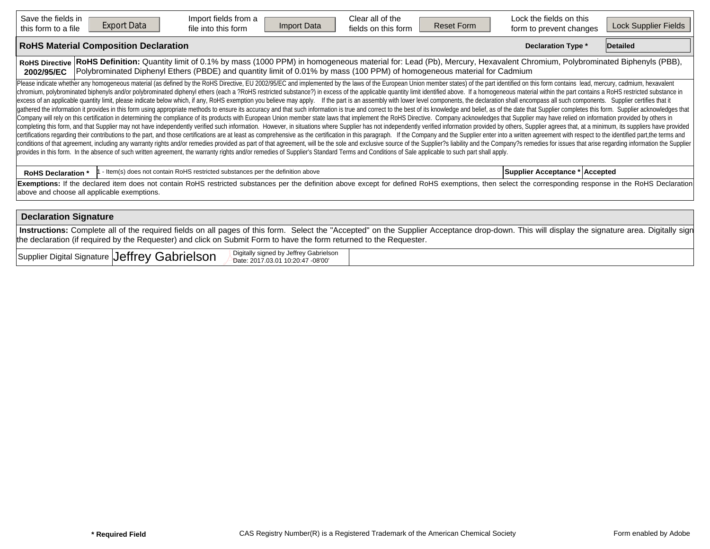| Save the fields in<br><b>Export Data</b><br>this form to a file | Import fields from a<br>Import Data<br>file into this form                                                                                                                                                                                                                                                                                                                                                                                                                                                                                                                                                                                                                                                                                                                                                                                                                                                                                                                                                                                                                                                                                                                                                                                                                                                                                                                                                                                                                                                                                                                                                                                                                                                                                                                                                                                                                                                                                                                                                                                                                  | Clear all of the<br>fields on this form | <b>Reset Form</b> | Lock the fields on this<br>form to prevent changes | Lock Supplier Fields |
|-----------------------------------------------------------------|-----------------------------------------------------------------------------------------------------------------------------------------------------------------------------------------------------------------------------------------------------------------------------------------------------------------------------------------------------------------------------------------------------------------------------------------------------------------------------------------------------------------------------------------------------------------------------------------------------------------------------------------------------------------------------------------------------------------------------------------------------------------------------------------------------------------------------------------------------------------------------------------------------------------------------------------------------------------------------------------------------------------------------------------------------------------------------------------------------------------------------------------------------------------------------------------------------------------------------------------------------------------------------------------------------------------------------------------------------------------------------------------------------------------------------------------------------------------------------------------------------------------------------------------------------------------------------------------------------------------------------------------------------------------------------------------------------------------------------------------------------------------------------------------------------------------------------------------------------------------------------------------------------------------------------------------------------------------------------------------------------------------------------------------------------------------------------|-----------------------------------------|-------------------|----------------------------------------------------|----------------------|
| <b>RoHS Material Composition Declaration</b>                    |                                                                                                                                                                                                                                                                                                                                                                                                                                                                                                                                                                                                                                                                                                                                                                                                                                                                                                                                                                                                                                                                                                                                                                                                                                                                                                                                                                                                                                                                                                                                                                                                                                                                                                                                                                                                                                                                                                                                                                                                                                                                             |                                         |                   | <b>Declaration Type *</b>                          | Detailed             |
| <b>RoHS Directive</b><br>2002/95/EC                             | RoHS Definition: Quantity limit of 0.1% by mass (1000 PPM) in homogeneous material for: Lead (Pb), Mercury, Hexavalent Chromium, Polybrominated Biphenyls (PBB),<br>Polybrominated Diphenyl Ethers (PBDE) and quantity limit of 0.01% by mass (100 PPM) of homogeneous material for Cadmium                                                                                                                                                                                                                                                                                                                                                                                                                                                                                                                                                                                                                                                                                                                                                                                                                                                                                                                                                                                                                                                                                                                                                                                                                                                                                                                                                                                                                                                                                                                                                                                                                                                                                                                                                                                 |                                         |                   |                                                    |                      |
|                                                                 | Please indicate whether any homogeneous material (as defined by the RoHS Directive, EU 2002/95/EC and implemented by the laws of the European Union member states) of the part identified on this form contains lead, mercury,<br>chromium, polybrominated biphenyls and/or polybrominated diphenyl ethers (each a ?RoHS restricted substance?) in excess of the applicable quantity limit identified above. If a homogeneous material within the part contains<br>excess of an applicable quantity limit, please indicate below which, if any, RoHS exemption you believe may apply. If the part is an assembly with lower level components, the declaration shall encompass all such components<br>gathered the information it provides in this form using appropriate methods to ensure its accuracy and that such information is true and correct to the best of its knowledge and belief, as of the date that Supplier complet<br>Company will rely on this certification in determining the compliance of its products with European Union member state laws that implement the RoHS Directive. Company acknowledges that Supplier may have relied on informati<br>completing this form, and that Supplier may not have independently verified such information. However, in situations where Supplier has not independently verified information provided by others, Supplier agrees that, at a<br>certifications regarding their contributions to the part, and those certifications are at least as comprehensive as the certification in this paragraph. If the Company and the Supplier enter into a written agreement with r<br>conditions of that agreement, including any warranty rights and/or remedies provided as part of that agreement, will be the sole and exclusive source of the Supplier?s liability and the Company?s remedies for issues that a<br>provides in this form. In the absence of such written agreement, the warranty rights and/or remedies of Supplier's Standard Terms and Conditions of Sale applicable to such part shall apply. |                                         |                   |                                                    |                      |
| <b>RoHS Declaration *</b>                                       | - Item(s) does not contain RoHS restricted substances per the definition above                                                                                                                                                                                                                                                                                                                                                                                                                                                                                                                                                                                                                                                                                                                                                                                                                                                                                                                                                                                                                                                                                                                                                                                                                                                                                                                                                                                                                                                                                                                                                                                                                                                                                                                                                                                                                                                                                                                                                                                              |                                         |                   | Supplier Acceptance * Accepted                     |                      |
| above and choose all applicable exemptions.                     | Exemptions: If the declared item does not contain RoHS restricted substances per the definition above except for defined RoHS exemptions, then select the corresponding response in the RoHS Declaration                                                                                                                                                                                                                                                                                                                                                                                                                                                                                                                                                                                                                                                                                                                                                                                                                                                                                                                                                                                                                                                                                                                                                                                                                                                                                                                                                                                                                                                                                                                                                                                                                                                                                                                                                                                                                                                                    |                                         |                   |                                                    |                      |
| <b>Declaration Signature</b>                                    |                                                                                                                                                                                                                                                                                                                                                                                                                                                                                                                                                                                                                                                                                                                                                                                                                                                                                                                                                                                                                                                                                                                                                                                                                                                                                                                                                                                                                                                                                                                                                                                                                                                                                                                                                                                                                                                                                                                                                                                                                                                                             |                                         |                   |                                                    |                      |
|                                                                 | Instructions: Complete all of the required fields on all pages of this form. Select the "Accepted" on the Supplier Acceptance drop-down. This will display the signature area. Digitally sign                                                                                                                                                                                                                                                                                                                                                                                                                                                                                                                                                                                                                                                                                                                                                                                                                                                                                                                                                                                                                                                                                                                                                                                                                                                                                                                                                                                                                                                                                                                                                                                                                                                                                                                                                                                                                                                                               |                                         |                   |                                                    |                      |

the declaration (if required by the Requester) and click on Submit Form to have the form returned to the Requester. Supplier Digital Signature Jeffrey Gabrielson  $\mathsf{Jeffrey}$  Gabrielson  $\mathbb{R}^{\mathsf{Digitally~signed~by~Jeffrey~Gabrielson}}$  and the USD of Date: 2017.03.01 10:20:47 -08'00'